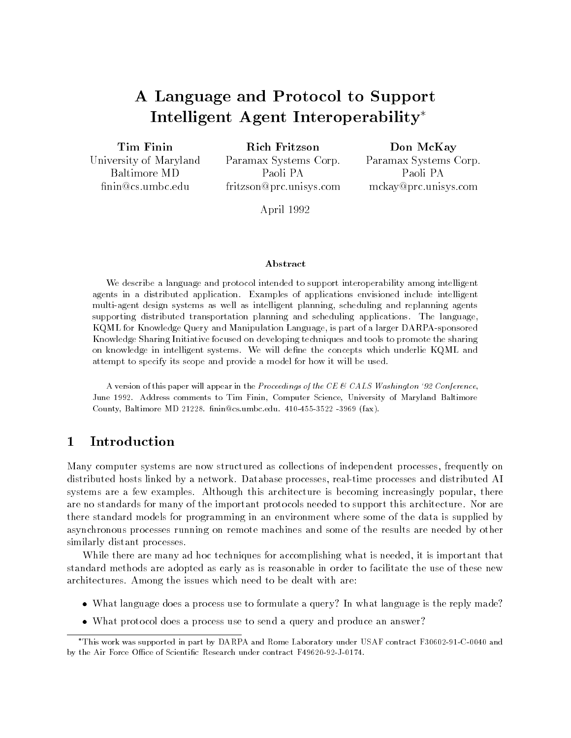# A Language and Protocol to Support Intelligent Agent Interoperability

Tim Finin

University of Maryland Baltimore MD nin@cs.umbc.edu

Rich Fritzson Paramax Systems Corp. Paoli PA fritzson@prc.unisys.com

Don McKay Paramax Systems Corp. Paoli PA mckay@prc.unisys.com

April 1992

#### A bstract

We describe a language and protocol intended to support interoperability among intelligent agents in a distributed application. Examples of applications envisioned include intelligent multi-agent design systems as well as intelligent planning, scheduling and replanning agents supporting distributed transportation planning and scheduling applications. The language, KQML for Knowledge Query and Manipulation Language, is part of a larger DARPA-sponsored Knowledge Sharing Initiative focused on developing techniques and tools to promote the sharing on knowledge in intelligent systems. We will define the concepts which underlie KQML and attempt to specify its scope and provide a model for how it will be used.

A version of this paper will appear in the Proceedings of the CE & CALS Washington '92 Conference, June 1992. Address comments to Tim Finin, Computer Science, University of Maryland Baltimore County, Baltimore MD 21228. finin@cs.umbc.edu. 410-455-3522 -3969 (fax).

#### $\mathbf{1}$ Introduction

Many computer systems are now structured as collections of independent processes, frequently on distributed hosts linked by a network. Database processes, real-time processes and distributed AI systems are a few examples. Although this architecture is becoming increasingly popular, there are no standards for many of the important protocols needed to support this architecture. Nor are there standard models for programming in an environment where some of the data is supplied by asynchronous processes running on remote machines and some of the results are needed by other similarly distant processes.

While there are many ad hoc techniques for accomplishing what is needed, it is important that standard methods are adopted as early as is reasonable in order to facilitate the use of these new architectures. Among the issues which need to be dealt with are:

- What is a comparative and a process use to formulate a query? In what language is the reply made.
- who protocol does a protocol does to send a query and produce and and  $\sim$

This work was supported in part by DARPA and Rome Laboratory under USAF contract F30602-91-C-0040 and by the Air Force Office of Scientific Research under contract F49620-92-J-0174.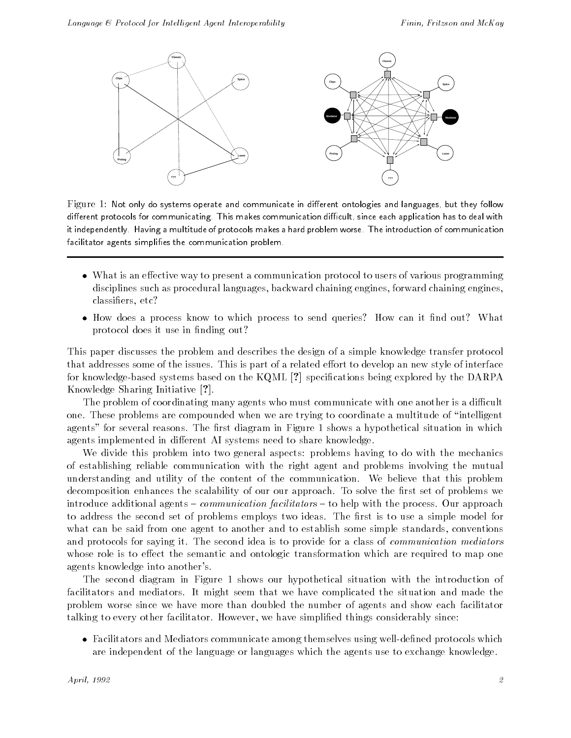

Figure 1: Not only do systems operate and communicate in different ontologies and languages, but they follow different protocols for communicating. This makes communication difficult, since each application has to deal with it independently. Having a multitude of protocols makes a hard problem worse. The introduction of communication facilitator agents simplifies the communication problem.

- What is an eective way to present a communication protocol to users of various programming disciplines such as procedural languages, backward chaining engines, forward chaining engines, classiers, etc?
- $\mathcal{L}$  is a process to the sense to which process to send queries. How can it must out? What it is not protocol does it use in finding out?

This paper discusses the problem and describes the design of a simple knowledge transfer protocol that addresses some of the issues. This is part of a related effort to develop an new style of interface for knowledge-based systems based on the  $KQML$  [?] specifications being explored by the DARPA Knowledge Sharing Initiative [?].

The problem of coordinating many agents who must communicate with one another is a difficult one. These problems are compounded when we are trying to coordinate a multitude of \intelligent agents" for several reasons. The first diagram in Figure 1 shows a hypothetical situation in which agents implemented in different AI systems need to share knowledge.

We divide this problem into two general aspects: problems having to do with the mechanics of establishing reliable communication with the right agent and problems involving the mutual understanding and utility of the content of the communication. We believe that this problem decomposition enhances the scalability of our our approach. To solve the first set of problems we introduce additional agents  ${ - communication}$  facilitators  ${ -}$  to help with the process. Our approach to address the second set of problems employs two ideas. The first is to use a simple model for what can be said from one agent to another and to establish some simple standards, conventions and protocols for saying it. The second idea is to provide for a class of *communication mediators* whose role is to effect the semantic and ontologic transformation which are required to map one agents knowledge into another's.

The second diagram in Figure 1 shows our hypothetical situation with the introduction of facilitators and mediators. It might seem that we have complicated the situation and made the problem worse since we have more than doubled the number of agents and show each facilitator talking to every other facilitator. However, we have simplied things considerably since:

 Facilitators and Mediators communicate among themselves using well-dened protocols which are independent of the language or languages which the agents use to exchange knowledge.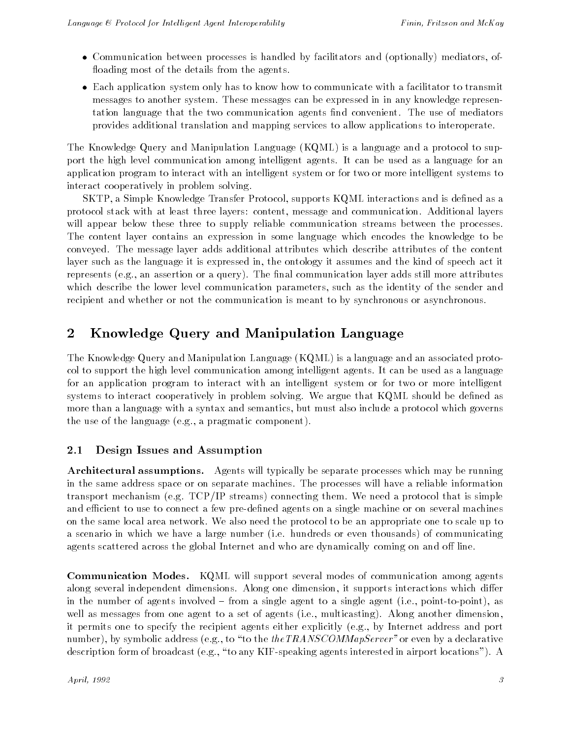- Communication between processes is handled by facilitators and (optionally) mediators, of floading most of the details from the agents.
- Each application system only has to know how to communicate with a facilitator to transmit messages to another system. These messages can be expressed in in any knowledge representation language that the two communication agents find convenient. The use of mediators provides additional translation and mapping services to allow applications to interoperate.

The Knowledge Query and Manipulation Language (KQML) is a language and a protocol to support the high level communication among intelligent agents. It can be used as a language for an application program to interact with an intelligent system or for two or more intelligent systems to interact cooperatively in problem solving.

SKTP, a Simple Knowledge Transfer Protocol, supports KQML interactions and is dened as a protocol stack with at least three layers: content, message and communication. Additional layers will appear below these three to supply reliable communication streams between the processes. The content layer contains an expression in some language which encodes the knowledge to be conveyed. The message layer adds additional attributes which describe attributes of the content layer such as the language it is expressed in, the ontology it assumes and the kind of speech act it represents (e.g., an assertion or a query). The final communication layer adds still more attributes which describe the lower level communication parameters, such as the identity of the sender and recipient and whether or not the communication is meant to by synchronous or asynchronous.

# 2 Knowledge Query and Manipulation Language

The Knowledge Query and Manipulation Language (KQML) is a language and an associated protocol to support the high level communication among intelligent agents. It can be used as a language for an application program to interact with an intelligent system or for two or more intelligent systems to interact cooperatively in problem solving. We argue that KQML should be dened as more than a language with a syntax and semantics, but must also include a protocol which governs the use of the language (e.g., a pragmatic component).

# 2.1 Design Issues and Assumption

Architectural assumptions. Agents will typically be separate processes which may be running in the same address space or on separate machines. The processes will have a reliable information transport mechanism (e.g. TCP/IP streams) connecting them. We need a protocol that is simple and efficient to use to connect a few pre-defined agents on a single machine or on several machines on the same local area network. We also need the protocol to be an appropriate one to scale up to a scenario in which we have a large number (i.e. hundreds or even thousands) of communicating agents scattered across the global Internet and who are dynamically coming on and off line.

Communication Modes. KQML will support several modes of communication among agents along several independent dimensions. Along one dimension, it supports interactions which differ in the number of agents involved  ${\bf -}$  from a single agent to a single agent (i.e., point-to-point), as well as messages from one agent to a set of agents (i.e., multicasting). Along another dimension, it permits one to specify the recipient agents either explicitly (e.g., by Internet address and port number), by symbolic address (e.g., to "to the  $the TRANSCOMMapServer"$  or even by a declarative description form of broadcast (e.g., "to any KIF-speaking agents interested in airport locations"). A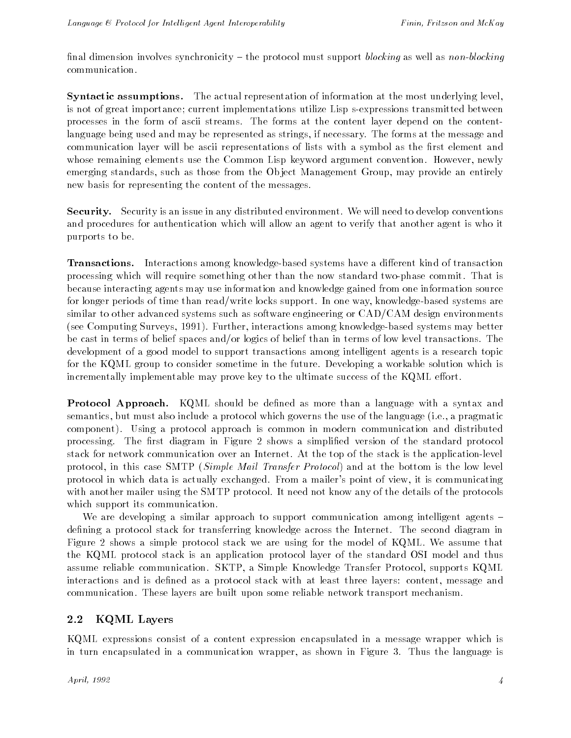final dimension involves synchronicity  $-$  the protocol must support blocking as well as non-blocking communication.

Syntactic assumptions. The actual representation of information at the most underlying level, is not of great importance; current implementations utilize Lisp s-expressions transmitted between processes in the form of ascii streams. The forms at the content layer depend on the contentlanguage being used and may be represented as strings, if necessary. The forms at the message and communication layer will be ascii representations of lists with a symbol as the first element and whose remaining elements use the Common Lisp keyword argument convention. However, newly emerging standards, such as those from the Ob ject Management Group, may provide an entirely new basis for representing the content of the messages.

Security. Security is an issue in any distributed environment. We will need to develop conventions and procedures for authentication which will allow an agent to verify that another agent is who it purports to be.

**Transactions.** Interactions among knowledge-based systems have a different kind of transaction processing which will require something other than the now standard two-phase commit. That is because interacting agents may use information and knowledge gained from one information source for longer periods of time than read/write locks support. In one way, knowledge-based systems are similar to other advanced systems such as software engineering or CAD/CAM design environments (see Computing Surveys, 1991). Further, interactions among knowledge-based systems may better be cast in terms of belief spaces and/or logics of belief than in terms of low level transactions. The development of a good model to support transactions among intelligent agents is a research topic for the KQML group to consider sometime in the future. Developing a workable solution which is incrementally implementable may prove key to the ultimate success of the  $KQML$  effort.

**Protocol Approach.** KQML should be defined as more than a language with a syntax and semantics, but must also include a protocol which governs the use of the language (i.e., a pragmatic component). Using a protocol approach is common in modern communication and distributed processing. The first diagram in Figure 2 shows a simplified version of the standard protocol stack for network communication over an Internet. At the top of the stack is the application-level protocol, in this case SMTP (Simple Mail Transfer Protocol) and at the bottom is the low level protocol in which data is actually exchanged. From a mailer's point of view, it is communicating with another mailer using the SMTP protocol. It need not know any of the details of the protocols which support its communication.

We are developing a similar approach to support communication among intelligent agents  $$ defining a protocol stack for transferring knowledge across the Internet. The second diagram in Figure 2 shows a simple protocol stack we are using for the model of KQML. We assume that the KQML protocol stack is an application protocol layer of the standard OSI model and thus assume reliable communication. SKTP, a Simple Knowledge Transfer Protocol, supports KQML interactions and is defined as a protocol stack with at least three layers: content, message and communication. These layers are built upon some reliable network transport mechanism.

# 2.2 KQML Layers

KQML expressions consist of a content expression encapsulated in a message wrapper which is in turn encapsulated in a communication wrapper, as shown in Figure 3. Thus the language is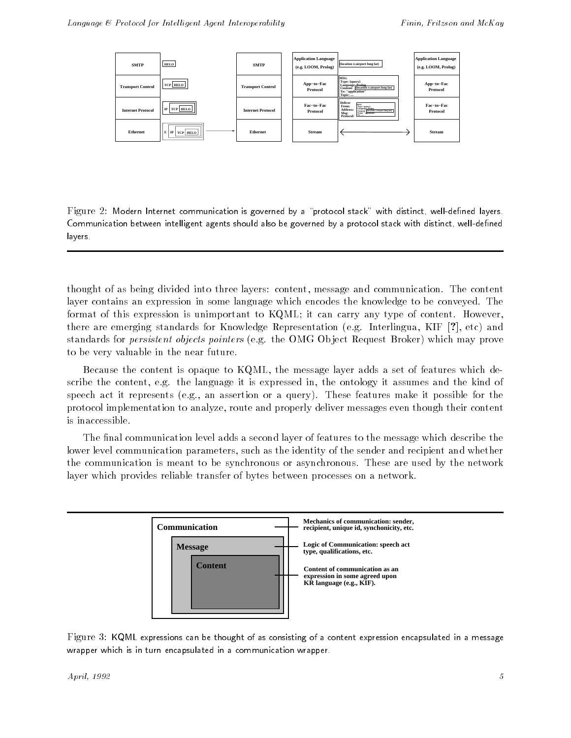

Figure 2: Modern Internet communication is governed by a "protocol stack" with distinct, well-defined layers. Communication between intelligent agents should also be governed by a protocol stack with distinct, well-defined layers.

thought of as being divided into three layers: content, message and communication. The content layer contains an expression in some language which encodes the knowledge to be conveyed. The format of this expression is unimportant to KQML; it can carry any type of content. However, there are emerging standards for Knowledge Representation (e.g. Interlingua, KIF [?], etc) and standards for persistent objects pointers (e.g. the OMG Ob ject Request Broker) which may prove to be very valuable in the near future.

Because the content is opaque to KQML, the message layer adds a set of features which describe the content, e.g. the language it is expressed in, the ontology it assumes and the kind of speech act it represents (e.g., an assertion or a query). These features make it possible for the protocol implementation to analyze, route and properly deliver messages even though their content is inaccessible.

The final communication level adds a second layer of features to the message which describe the lower level communication parameters, such as the identity of the sender and recipient and whether the communication is meant to be synchronous or asynchronous. These are used by the network layer which provides reliable transfer of bytes between processes on a network.



Figure 3: KQML expressions can be thought of as consisting of a content expression encapsulated in a message wrapper which is in turn encapsulated in a communication wrapper.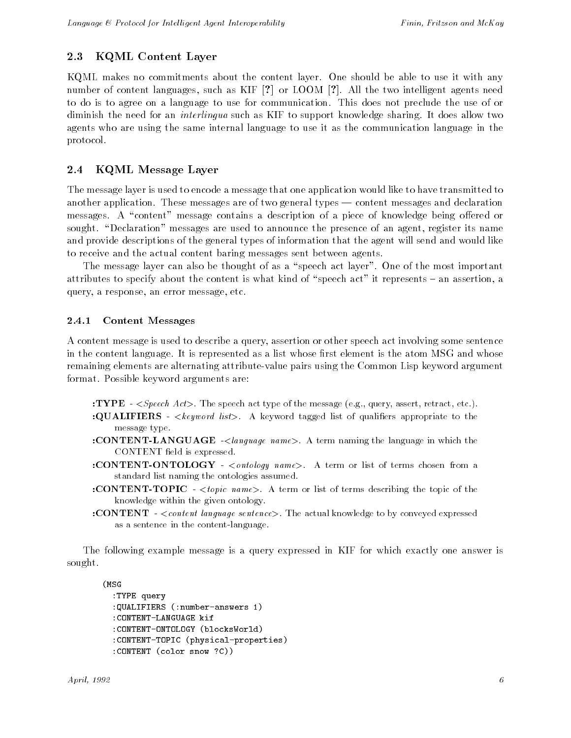### 2.3 KQML Content Layer

KQML makes no commitments about the content layer. One should be able to use it with any number of content languages, such as KIF [?] or LOOM [?]. All the two intelligent agents need to do is to agree on a language to use for communication. This does not preclude the use of or diminish the need for an interlingua such as KIF to support knowledge sharing. It does allow two agents who are using the same internal language to use it as the communication language in the protocol.

### 2.4 KQML Message Layer

The message layer is used to encode a message that one application would like to have transmitted to another application. These messages are of two general types  $-$  content messages and declaration messages. A "content" message contains a description of a piece of knowledge being offered or sought. "Declaration" messages are used to announce the presence of an agent, register its name and provide descriptions of the general types of information that the agent will send and would like to receive and the actual content baring messages sent between agents.

The message layer can also be thought of as a "speech act layer". One of the most important attributes to specify about the content is what kind of "speech act" it represents  $-$  an assertion, a query, a response, an error message, etc.

#### 2.4.1 Content Messages

A content message is used to describe a query, assertion or other speech act involving some sentence in the content language. It is represented as a list whose first element is the atom MSG and whose remaining elements are alternating attribute-value pairs using the Common Lisp keyword argument format. Possible keyword arguments are:

- :TYPE  $\leq$  *Speech Act*>. The speech act type of the message (e.g., query, assert, retract, etc.). :QUALIFIERS -  $\leq$ keyword list>. A keyword tagged list of qualifiers appropriate to the message type.
- :CONTENT-LANGUAGE -<language name>. A term naming the language in which the CONTENT field is expressed.
- :CONTENT-ONTOLOGY <ontology name>. A term or list of terms chosen from a standard list naming the ontologies assumed.
- :CONTENT-TOPIC <topic name>. A term or list of terms describing the topic of the knowledge within the given ontology.
- :CONTENT <content language sentence>. The actual knowledge to by conveyed expressed as a sentence in the content-language.

The following example message is a query expressed in KIF for which exactly one answer is sought.

(MSG :TYPE query :QUALIFIERS (:number-answers 1) :CONTENT-LANGUAGE kif :CONTENT-ONTOLOGY (blocksWorld) :CONTENT-TOPIC (physical-properties) :CONTENT (color snow ?C))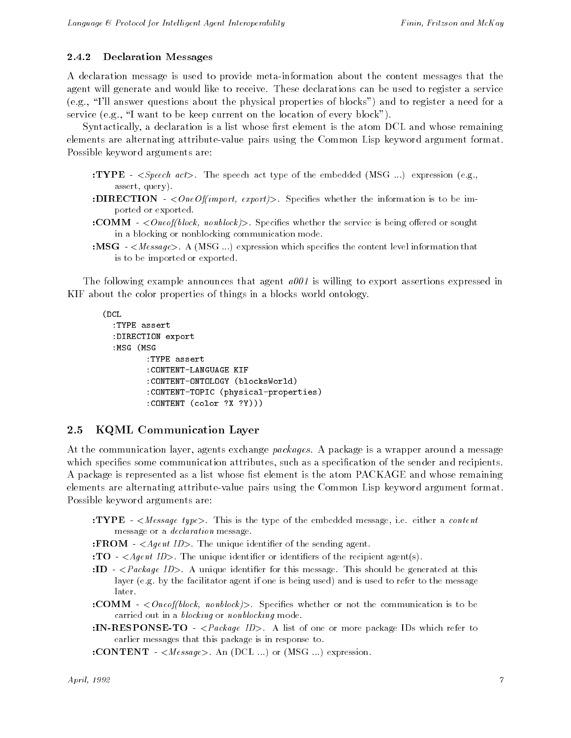#### 2.4.2 Declaration Messages

A declaration message is used to provide meta-information about the content messages that the agent will generate and would like to receive. These declarations can be used to register a service (e.g., \I'll answer questions about the physical properties of blocks") and to register a need for a service (e.g., "I want to be keep current on the location of every block").

Syntactically, a declaration is a list whose first element is the atom  $DCL$  and whose remaining elements are alternating attribute-value pairs using the Common Lisp keyword argument format. Possible keyword arguments are:

- :TYPE  $\langle Speech \, act \rangle$ . The speech act type of the embedded (MSG ...) expression (e.g., assert, query).
- :DIRECTION  $-$  < One Of(import, export)>. Specifies whether the information is to be imported or exported.
- : **COMM**  $\leq$   $\leq$  *Oneof(block, nonblock)* >. Specifies whether the service is being offered or sought in a blocking or nonblocking communication mode.
- :MSG  $-$ <Message>. A (MSG ...) expression which specifies the content level information that is to be imported or exported.

The following example announces that agent  $a001$  is willing to export assertions expressed in KIF about the color properties of things in a blocks world ontology.

```
(DCL
:TYPE assert
:DIRECTION export
:MSG (MSG
        :TYPE assert
        :CONTENT-LANGUAGE KIF
        :CONTENT-ONTOLOGY (blocksWorld)
        :CONTENT-TOPIC (physical-properties)
        :CONTENT (color ?X ?Y)))
```
### 2.5 KQML Communication Layer

At the communication layer, agents exchange *packages*. A package is a wrapper around a message which specifies some communication attributes, such as a specification of the sender and recipients. A package is represented as a list whose fist element is the atom PACKAGE and whose remaining elements are alternating attribute-value pairs using the Common Lisp keyword argument format. Possible keyword arguments are:

- :TYPE <Message type>. This is the type of the embedded message, i.e. either a content message or a declaration message.
- : FROM  $-$  < *Agent ID*>. The unique identifier of the sending agent.
- : TO  $-$  < *Agent ID*>. The unique identifier or identifiers of the recipient agent(s).
- :ID  $-$  <Package ID>. A unique identifier for this message. This should be generated at this layer (e.g. by the facilitator agent if one is being used) and is used to refer to the message
- :**COMM**  $\langle Oneof-block, nonblock \rangle$ . Specifies whether or not the communication is to be carried out in a blocking or nonblocking mode.
- :IN-RESPONSE-TO <Package ID>. A list of one or more package IDs which refer to earlier messages that this package is in response to.
- :CONTENT  $-$  < Message >. An (DCL ...) or (MSG ...) expression.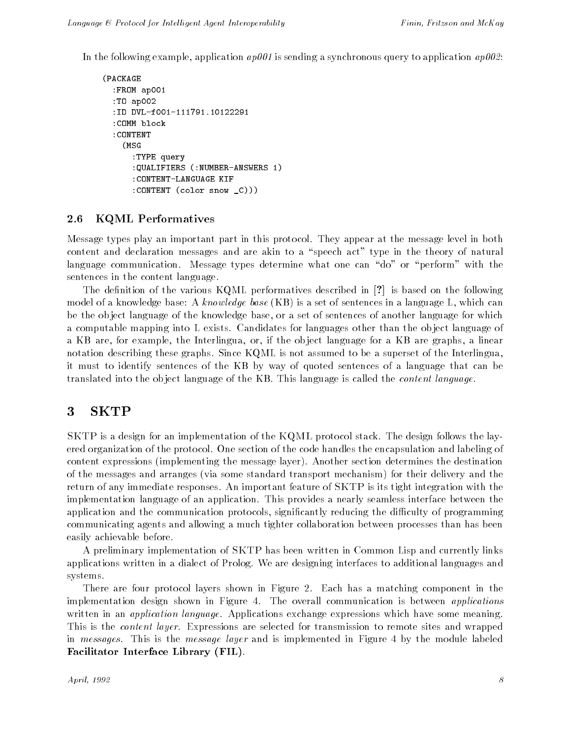In the following example, application  $ap001$  is sending a synchronous query to application  $ap002$ :

```
(PACKAGE
   :FROM ap001
   :TO ap002
   :ID DVL-f001-111791.10122291
   :COMM block
   :CONTENT
       (MSG)(MSG) and a second contract the second contract of the second contract of the second contract of the second contract of the second contract of the second contract of the second contract of the second contract of the second
            :TYPE query
            :QUALIFIERS (:NUMBER-ANSWERS 1)
            :CONTENT-LANGUAGE KIF
            :CONTENT (color snow _C)))
```
### 2.6 KQML Performatives

Message types play an important part in this protocol. They appear at the message level in both content and declaration messages and are akin to a "speech act" type in the theory of natural language communication. Message types determine what one can "do" or "perform" with the sentences in the content language.

The definition of the various KQML performatives described in  $[?]$  is based on the following model of a knowledge base: A knowledge base  $(KB)$  is a set of sentences in a language L, which can be the ob ject language of the knowledge base, or a set of sentences of another language for which a computable mapping into L exists. Candidates for languages other than the object language of a KB are, for example, the Interlingua, or, if the ob ject language for a KB are graphs, a linear notation describing these graphs. Since KQML is not assumed to be a superset of the Interlingua, it must to identify sentences of the KB by way of quoted sentences of a language that can be translated into the ob ject language of the KB. This language is called the content language.

#### 3 **SKTP**

SKTP is a design for an implementation of the KQML protocol stack. The design follows the layered organization of the protocol. One section of the code handles the encapsulation and labeling of content expressions (implementing the message layer). Another section determines the destination of the messages and arranges (via some standard transport mechanism) for their delivery and the return of any immediate responses. An important feature of SKTP is its tight integration with the implementation language of an application. This provides a nearly seamless interface between the application and the communication protocols, significantly reducing the difficulty of programming communicating agents and allowing a much tighter collaboration between processes than has been easily achievable before.

A preliminary implementation of SKTP has been written in Common Lisp and currently links applications written in a dialect of Prolog. We are designing interfaces to additional languages and systems.

There are four protocol layers shown in Figure 2. Each has a matching component in the implementation design shown in Figure 4. The overall communication is between *applications* written in an *application language*. Applications exchange expressions which have some meaning. This is the *content layer*. Expressions are selected for transmission to remote sites and wrapped in messages. This is the message layer and is implemented in Figure 4 by the module labeled Facilitator Interface Library (FIL).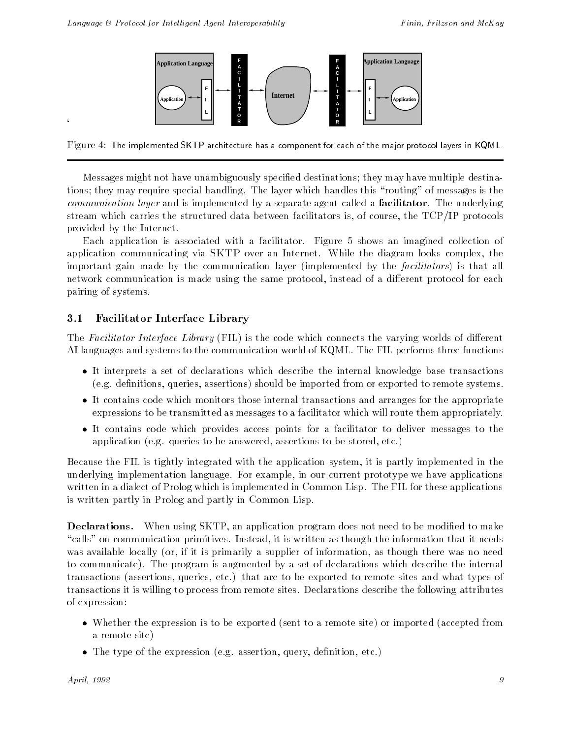

Figure 4: The implemented SKTP architecture has a component for each of the major protocol layers in KQML.

Messages might not have unambiguously specied destinations; they may have multiple destinations; they may require special handling. The layer which handles this "routing" of messages is the communication layer and is implemented by a separate agent called a **facilitator**. The underlying stream which carries the structured data between facilitators is, of course, the TCP/IP protocols provided by the Internet.

Each application is associated with a facilitator. Figure 5 shows an imagined collection of application communicating via SKTP over an Internet. While the diagram looks complex, the important gain made by the communication layer (implemented by the *facilitators*) is that all network communication is made using the same protocol, instead of a different protocol for each pairing of systems.

## 3.1 Facilitator Interface Library

The Facilitator Interface Library (FIL) is the code which connects the varying worlds of different AI languages and systems to the communication world of KQML. The FIL performs three functions

- It interprets a set of declarations which describe the internal knowledge base transactions (e.g. definitions, queries, assertions) should be imported from or exported to remote systems.
- It contains code which monitors those internal transactions and arranges for the appropriate expressions to be transmitted as messages to a facilitator which will route them appropriately.
- It contains code which provides access points for a facilitator to deliver messages to the application (e.g. queries to be answered, assertions to be stored, etc.)

Because the FIL is tightly integrated with the application system, it is partly implemented in the underlying implementation language. For example, in our current prototype we have applications written in a dialect of Prolog which is implemented in Common Lisp. The FIL for these applications is written partly in Prolog and partly in Common Lisp.

**Declarations.** When using SKTP, an application program does not need to be modified to make "calls" on communication primitives. Instead, it is written as though the information that it needs was available locally (or, if it is primarily a supplier of information, as though there was no need to communicate). The program is augmented by a set of declarations which describe the internal transactions (assertions, queries, etc.) that are to be exported to remote sites and what types of transactions it is willing to process from remote sites. Declarations describe the following attributes of expression:

- whether the expression is to be exported (sent to a remote site) or imported (accepted in remote a remote site)
- The type of the expression (e.g. assertion, query, denition, etc.)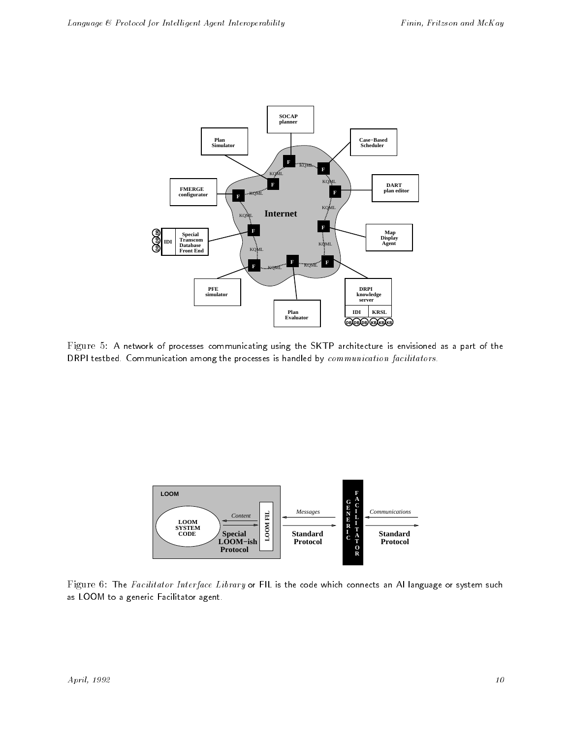

Figure 5: A network of processes communicating using the SKTP architecture is envisioned as a part of the DRPI testbed. Communication among the processes is handled by communication facilitators.



Figure 6: The Facilitator Interface Library or FIL is the code which connects an AI language or system such as LOOM to a generic Facilitator agent.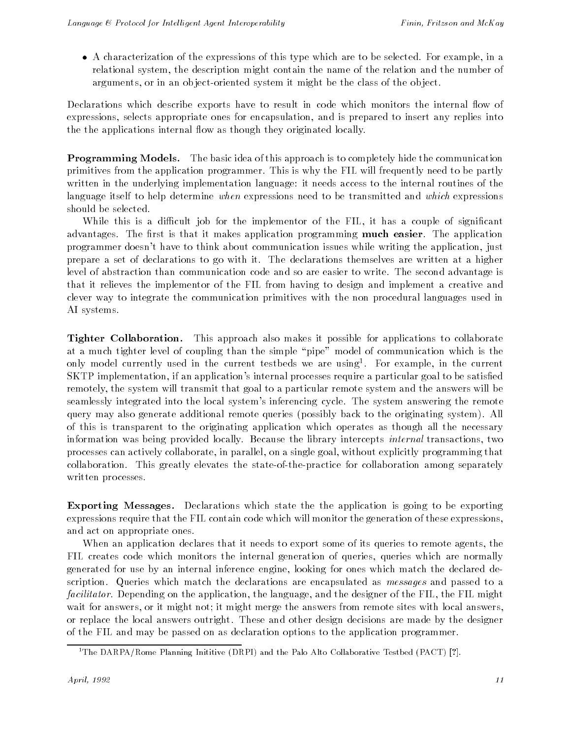A characterization of the expressions of this type which are to be selected. For example, in a relational system, the description might contain the name of the relation and the number of arguments, or in an ob ject-oriented system it might be the class of the ob ject.

Declarations which describe exports have to result in code which monitors the internal flow of expressions, selects appropriate ones for encapsulation, and is prepared to insert any replies into the the applications internal flow as though they originated locally.

Programming Models. The basic idea of this approach is to completely hide the communication primitives from the application programmer. This is why the FIL will frequently need to be partly written in the underlying implementation language: it needs access to the internal routines of the language itself to help determine when expressions need to be transmitted and which expressions should be selected.

While this is a difficult job for the implementor of the FIL, it has a couple of significant advantages. The first is that it makes application programming **much easier**. The application programmer doesn't have to think about communication issues while writing the application, just prepare a set of declarations to go with it. The declarations themselves are written at a higher level of abstraction than communication code and so are easier to write. The second advantage is that it relieves the implementor of the FIL from having to design and implement a creative and clever way to integrate the communication primitives with the non procedural languages used in AI systems.

Tighter Collaboration. This approach also makes it possible for applications to collaborate at a much tighter level of coupling than the simple \pipe" model of communication which is the only model currently used in the current testbeds we are using1 . For example, in the current SKTP implementation, if an application's internal processes require a particular goal to be satised remotely, the system will transmit that goal to a particular remote system and the answers will be seamlessly integrated into the local system's inferencing cycle. The system answering the remote query may also generate additional remote queries (possibly back to the originating system). All of this is transparent to the originating application which operates as though all the necessary information was being provided locally. Because the library intercepts internal transactions, two processes can actively collaborate, in parallel, on a single goal, without explicitly programming that collaboration. This greatly elevates the state-of-the-practice for collaboration among separately written processes.

Exporting Messages. Declarations which state the the application is going to be exporting expressions require that the FIL contain code which will monitor the generation of these expressions, and act on appropriate ones.

When an application declares that it needs to export some of its queries to remote agents, the FIL creates code which monitors the internal generation of queries, queries which are normally generated for use by an internal inference engine, looking for ones which match the declared description. Queries which match the declarations are encapsulated as messages and passed to a facilitator. Depending on the application, the language, and the designer of the FIL, the FIL might wait for answers, or it might not; it might merge the answers from remote sites with local answers. or replace the local answers outright. These and other design decisions are made by the designer of the FIL and may be passed on as declaration options to the application programmer.

<sup>&</sup>lt;sup>1</sup>The DARPA/Rome Planning Inititive (DRPI) and the Palo Alto Collaborative Testbed (PACT) [?].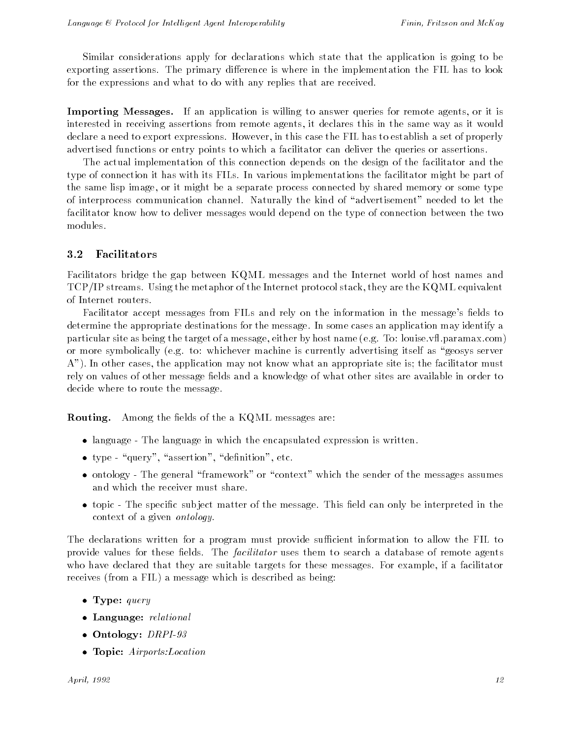Similar considerations apply for declarations which state that the application is going to be exporting assertions. The primary difference is where in the implementation the FIL has to look for the expressions and what to do with any replies that are received.

Importing Messages. If an application is willing to answer queries for remote agents, or it is interested in receiving assertions from remote agents, it declares this in the same way as it would declare a need to export expressions. However, in this case the FIL has to establish a set of properly advertised functions or entry points to which a facilitator can deliver the queries or assertions.

The actual implementation of this connection depends on the design of the facilitator and the type of connection it has with its FILs. In various implementations the facilitator might be part of the same lisp image, or it might be a separate process connected by shared memory or some type of interprocess communication channel. Naturally the kind of "advertisement" needed to let the facilitator know how to deliver messages would depend on the type of connection between the two modules.

### 3.2 Facilitators

Facilitators bridge the gap between KQML messages and the Internet world of host names and TCP/IP streams. Using the metaphor of the Internet protocol stack, they are the KQML equivalent of Internet routers.

Facilitator accept messages from FILs and rely on the information in the message's fields to determine the appropriate destinations for the message. In some cases an application may identify a particular site as being the target of a message, either by host name (e.g. To: louise.vfl.paramax.com) or more symbolically (e.g. to: whichever machine is currently advertising itself as "geosys server A"). In other cases, the application may not know what an appropriate site is; the facilitator must rely on values of other message fields and a knowledge of what other sites are available in order to decide where to route the message.

**Routing.** Among the fields of the a KQML messages are:

- language The language in which the encapsulated expression is written.
- the state of the second three contributions in the second second terms of  $\alpha$
- $\alpha$  The general  $\alpha$  or  $\alpha$  is the sense of the sense of the sense as  $\alpha$  as  $\alpha$  as  $\alpha$ and which the receiver must share.
- topic The specific subject matter of the message. This head can only be interpreted in the context of a given ontology.

The declarations written for a program must provide sufficient information to allow the FIL to provide values for these fields. The *facilitator* uses them to search a database of remote agents who have declared that they are suitable targets for these messages. For example, if a facilitator receives (from a FIL) a message which is described as being:

- $\blacksquare$  .  $\blacksquare$  .  $\blacksquare$  .  $\blacksquare$  .  $\blacksquare$
- Language: relational
- $\blacksquare$  Denotes a proposition of  $\blacksquare$
- Topic: Airports:Location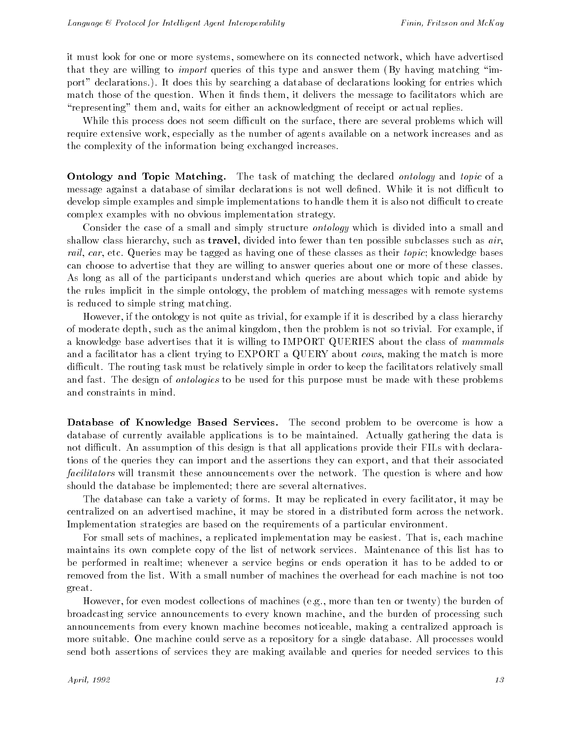it must look for one or more systems, somewhere on its connected network, which have advertised that they are willing to *import* queries of this type and answer them (By having matching "import" declarations.). It does this by searching a database of declarations looking for entries which match those of the question. When it finds them, it delivers the message to facilitators which are "representing" them and, waits for either an acknowledgment of receipt or actual replies.

While this process does not seem difficult on the surface, there are several problems which will require extensive work, especially as the number of agents available on a network increases and as the complexity of the information being exchanged increases.

**Ontology and Topic Matching.** The task of matching the declared *ontology* and *topic* of a message against a database of similar declarations is not well defined. While it is not difficult to develop simple examples and simple implementations to handle them it is also not difficult to create complex examples with no obvious implementation strategy.

Consider the case of a small and simply structure *ontology* which is divided into a small and shallow class hierarchy, such as **travel**, divided into fewer than ten possible subclasses such as  $air$ , rail, car, etc. Queries may be tagged as having one of these classes as their *topic*; knowledge bases can choose to advertise that they are willing to answer queries about one or more of these classes. As long as all of the participants understand which queries are about which topic and abide by the rules implicit in the simple ontology, the problem of matching messages with remote systems is reduced to simple string matching.

However, if the ontology is not quite as trivial, for example if it is described by a class hierarchy of moderate depth, such as the animal kingdom, then the problem is not so trivial. For example, if a knowledge base advertises that it is willing to IMPORT QUERIES about the class of mammals and a facilitator has a client trying to EXPORT a QUERY about *cows*, making the match is more difficult. The routing task must be relatively simple in order to keep the facilitators relatively small and fast. The design of *ontologies* to be used for this purpose must be made with these problems and constraints in mind.

Database of Knowledge Based Services. The second problem to be overcome is how a database of currently available applications is to be maintained. Actually gathering the data is not difficult. An assumption of this design is that all applications provide their FILs with declarations of the queries they can import and the assertions they can export, and that their associated facilitators will transmit these announcements over the network. The question is where and how should the database be implemented; there are several alternatives.

The database can take a variety of forms. It may be replicated in every facilitator, it may be centralized on an advertised machine, it may be stored in a distributed form across the network. Implementation strategies are based on the requirements of a particular environment.

For small sets of machines, a replicated implementation may be easiest. That is, each machine maintains its own complete copy of the list of network services. Maintenance of this list has to be performed in realtime; whenever a service begins or ends operation it has to be added to or removed from the list. With a small number of machines the overhead for each machine is not too great.

However, for even modest collections of machines (e.g., more than ten or twenty) the burden of broadcasting service announcements to every known machine, and the burden of processing such announcements from every known machine becomes noticeable, making a centralized approach is more suitable. One machine could serve as a repository for a single database. All processes would send both assertions of services they are making available and queries for needed services to this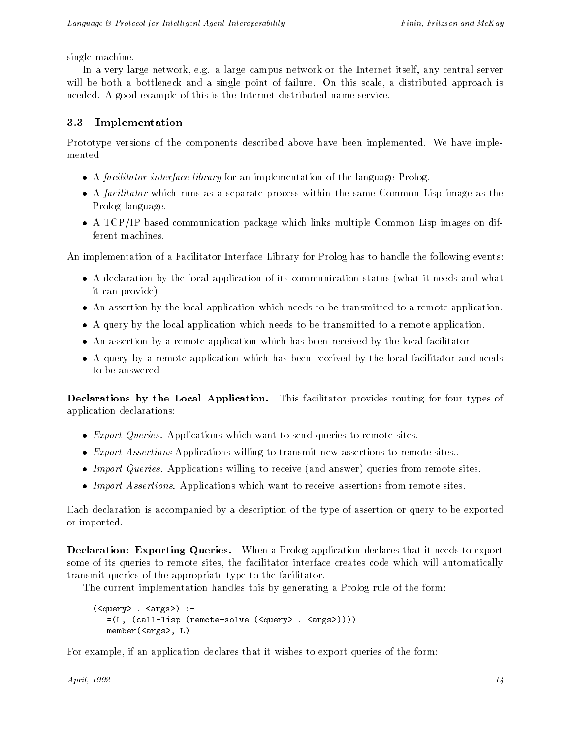single machine.

In a very large network, e.g. a large campus network or the Internet itself, any central server will be both a bottleneck and a single point of failure. On this scale, a distributed approach is needed. A good example of this is the Internet distributed name service.

## 3.3 Implementation

Prototype versions of the components described above have been implemented. We have implemented

- A facilitator interface library for an implementation of the language Prolog.
- A facilitator which runs as a separate process within the same Common Lisp image as the Prolog language.
- A TCP/IP based communication package which links multiple Common Lisp images on different machines.

An implementation of a Facilitator Interface Library for Prolog has to handle the following events:

- A declaration by the local application of its communication status (what it needs and what it can provide)
- An assertion by the local application which needs to be transmitted to a remote application.
- A query by the local application which needs to be transmitted to a remote application.
- An assertion by a remote application which has been received by the local facilitator
- A query by a remote application which has been received by the local facilitator and needs to be answered

Declarations by the Local Application. This facilitator provides routing for four types of application declarations:

- Export Queries. Applications which want to send queries to remote sites.
- Export Assertions Applications willing to transmit new assertions to remote sites..
- Import Queries. Applications willing to receive (and answer) queries from remote sites.
- Import Assertions. Applications which want to receive assertions from remote sites.

Each declaration is accompanied by a description of the type of assertion or query to be exported or imported.

Declaration: Exporting Queries. When a Prolog application declares that it needs to export some of its queries to remote sites, the facilitator interface creates code which will automatically transmit queries of the appropriate type to the facilitator.

The current implementation handles this by generating a Prolog rule of the form:

```
(<query> . <args>) :-
 =(L, (call-lisp (remote-solve (<query> . <args>))))
 member(<args>, L)
```
For example, if an application declares that it wishes to export queries of the form: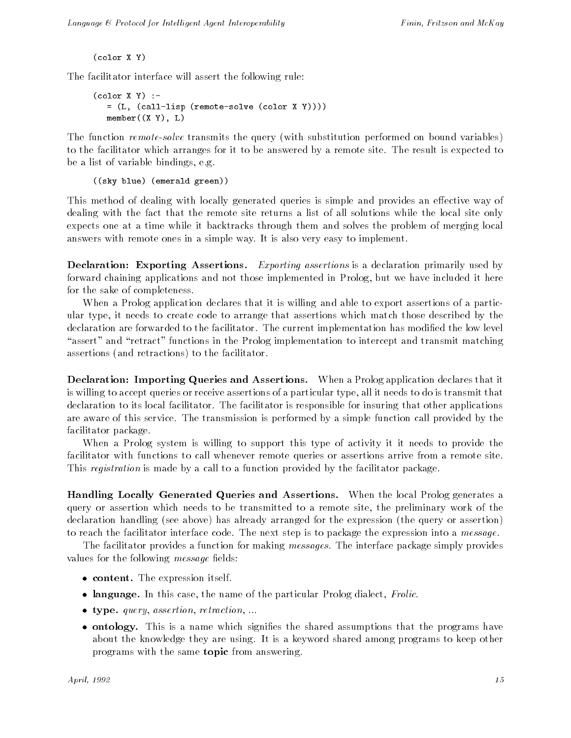$(color X Y)$ (color X Y)

The facilitator interface will assert the following rule:

```
(color X Y) :-= (L, (call-lisp (remote-solve (color X Y))))
 member((X Y), L)
```
The function *remote-solve* transmits the query (with substitution performed on bound variables) to the facilitator which arranges for it to be answered by a remote site. The result is expected to be a list of variable bindings, e.g.

((sky blue) (emerald green))

This method of dealing with locally generated queries is simple and provides an effective way of dealing with the fact that the remote site returns a list of all solutions while the local site only expects one at a time while it backtracks through them and solves the problem of merging local answers with remote ones in a simple way. It is also very easy to implement.

**Declaration: Exporting Assertions.** Exporting assertions is a declaration primarily used by forward chaining applications and not those implemented in Prolog, but we have included it here for the sake of completeness.

When a Prolog application declares that it is willing and able to export assertions of a particular type, it needs to create code to arrange that assertions which match those described by the declaration are forwarded to the facilitator. The current implementation has modified the low level "assert" and "retract" functions in the Prolog implementation to intercept and transmit matching assertions (and retractions) to the facilitator.

Declaration: Importing Queries and Assertions. When a Prolog application declares that it is willing to accept queries or receive assertions of a particular type, all it needs to do is transmit that declaration to its local facilitator. The facilitator is responsible for insuring that other applications are aware of this service. The transmission is performed by a simple function call provided by the facilitator package.

When a Prolog system is willing to support this type of activity it it needs to provide the facilitator with functions to call whenever remote queries or assertions arrive from a remote site. This registration is made by a call to a function provided by the facilitator package.

Handling Locally Generated Queries and Assertions. When the local Prolog generates a query or assertion which needs to be transmitted to a remote site, the preliminary work of the declaration handling (see above) has already arranged for the expression (the query or assertion) to reach the facilitator interface code. The next step is to package the expression into a message.

The facilitator provides a function for making *messages*. The interface package simply provides values for the following *message* fields:

- content. The expression itself.
- language. In this case, the name of the particular Prolog dialect, Frolic.
- type. query, assertion, retraction, ...
- ontology. This is a name which signies the shared assumptions that the programs have about the knowledge they are using. It is a keyword shared among programs to keep other programs with the same topic from answering.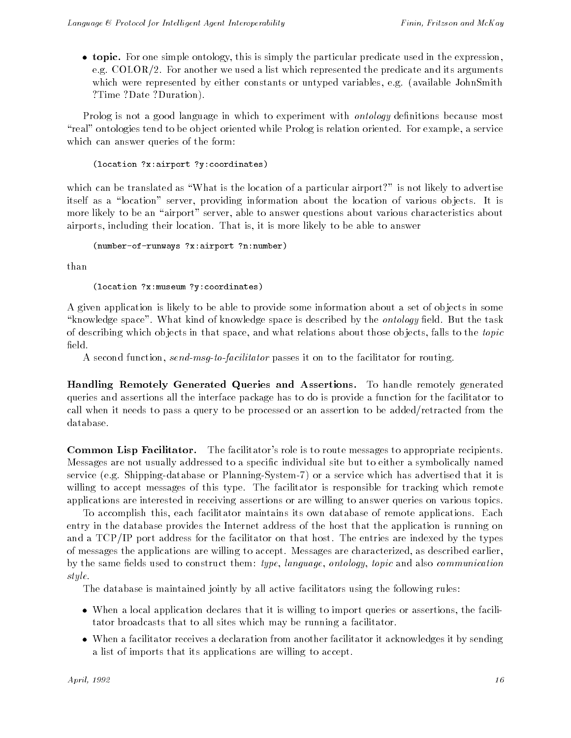topic. For one simple ontology, this is simply the particular predicate used in the expression, e.g. COLOR/2. For another we used a list which represented the predicate and its arguments which were represented by either constants or untyped variables, e.g. (available JohnSmith ?Time ?Date ?Duration).

Prolog is not a good language in which to experiment with *ontology* definitions because most "real" ontologies tend to be object oriented while Prolog is relation oriented. For example, a service which can answer queries of the form:

#### (location ?x:airport ?y:coordinates)

which can be translated as "What is the location of a particular airport?" is not likely to advertise itself as a "location" server, providing information about the location of various objects. It is more likely to be an "airport" server, able to answer questions about various characteristics about airports, including their location. That is, it is more likely to be able to answer

```
(number-of-runways ?x:airport ?n:number)
```
than

#### (location ?x:museum ?y:coordinates)

A given application is likely to be able to provide some information about a set of ob jects in some "knowledge space". What kind of knowledge space is described by the *ontology* field. But the task of describing which ob jects in that space, and what relations about those ob jects, falls to the topic field.

A second function, send-msg-to-facilitator passes it on to the facilitator for routing.

Handling Remotely Generated Queries and Assertions. To handle remotely generated queries and assertions all the interface package has to do is provide a function for the facilitator to call when it needs to pass a query to be processed or an assertion to be added/retracted from the database.

Common Lisp Facilitator. The facilitator's role is to route messages to appropriate recipients. Messages are not usually addressed to a specific individual site but to either a symbolically named service (e.g. Shipping-database or Planning-System-7) or a service which has advertised that it is willing to accept messages of this type. The facilitator is responsible for tracking which remote applications are interested in receiving assertions or are willing to answer queries on various topics.

To accomplish this, each facilitator maintains its own database of remote applications. Each entry in the database provides the Internet address of the host that the application is running on and a TCP/IP port address for the facilitator on that host. The entries are indexed by the types of messages the applications are willing to accept. Messages are characterized, as described earlier, by the same fields used to construct them: type, language, ontology, topic and also communication style.<br>The database is maintained jointly by all active facilitators using the following rules:

- When a local application declares that it is willing to import queries or assertions, the facilitator broadcasts that to all sites which may be running a facilitator.
- when a facilitation receives a declaration from another facilitation from another facilitation  $\eta$  sending it a list of imports that its applications are willing to accept.